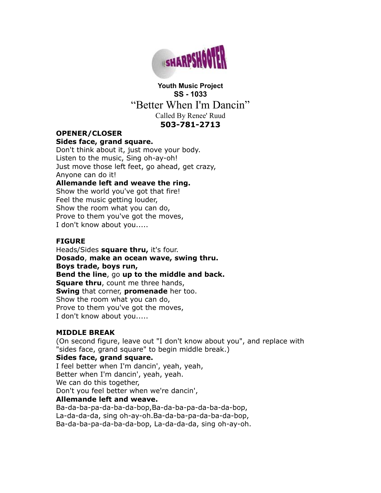

# **Youth Music Project SS - 1033** "Better When I'm Dancin" Called By Renee' Ruud **503-781-2713**

# **OPENER/CLOSER**

### **Sides face, grand square.**

Don't think about it, just move your body. Listen to the music, Sing oh-ay-oh! Just move those left feet, go ahead, get crazy, Anyone can do it!

### **Allemande left and weave the ring.**

Show the world you've got that fire! Feel the music getting louder, Show the room what you can do, Prove to them you've got the moves, I don't know about you.....

### **FIGURE**

Heads/Sides **square thru,** it's four. **Dosado**, **make an ocean wave, swing thru. Boys trade, boys run, Bend the line**, go **up to the middle and back. Square thru**, count me three hands, **Swing** that corner, **promenade** her too. Show the room what you can do, Prove to them you've got the moves, I don't know about you.....

## **MIDDLE BREAK**

(On second figure, leave out "I don't know about you", and replace with "sides face, grand square" to begin middle break.)

## **Sides face, grand square.**

I feel better when I'm dancin', yeah, yeah, Better when I'm dancin', yeah, yeah. We can do this together, Don't you feel better when we're dancin', **Allemande left and weave.** Ba-da-ba-pa-da-ba-da-bop,Ba-da-ba-pa-da-ba-da-bop, La-da-da-da, sing oh-ay-oh.Ba-da-ba-pa-da-ba-da-bop, Ba-da-ba-pa-da-ba-da-bop, La-da-da-da, sing oh-ay-oh.